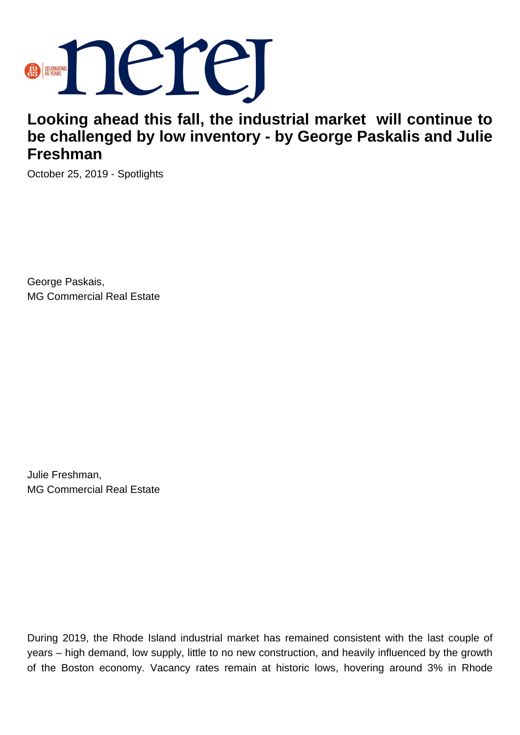

## **Looking ahead this fall, the industrial market will continue to be challenged by low inventory - by George Paskalis and Julie Freshman**

October 25, 2019 - Spotlights

George Paskais, MG Commercial Real Estate

Julie Freshman, MG Commercial Real Estate

During 2019, the Rhode Island industrial market has remained consistent with the last couple of years – high demand, low supply, little to no new construction, and heavily influenced by the growth of the Boston economy. Vacancy rates remain at historic lows, hovering around 3% in Rhode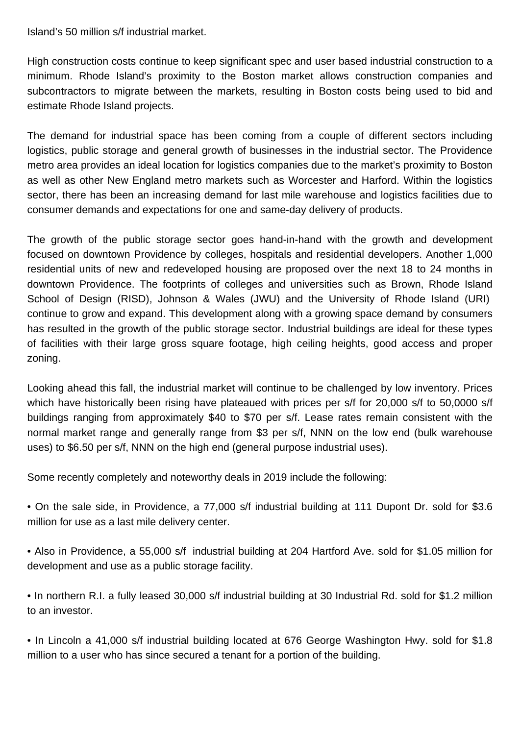Island's 50 million s/f industrial market.

High construction costs continue to keep significant spec and user based industrial construction to a minimum. Rhode Island's proximity to the Boston market allows construction companies and subcontractors to migrate between the markets, resulting in Boston costs being used to bid and estimate Rhode Island projects.

The demand for industrial space has been coming from a couple of different sectors including logistics, public storage and general growth of businesses in the industrial sector. The Providence metro area provides an ideal location for logistics companies due to the market's proximity to Boston as well as other New England metro markets such as Worcester and Harford. Within the logistics sector, there has been an increasing demand for last mile warehouse and logistics facilities due to consumer demands and expectations for one and same-day delivery of products.

The growth of the public storage sector goes hand-in-hand with the growth and development focused on downtown Providence by colleges, hospitals and residential developers. Another 1,000 residential units of new and redeveloped housing are proposed over the next 18 to 24 months in downtown Providence. The footprints of colleges and universities such as Brown, Rhode Island School of Design (RISD), Johnson & Wales (JWU) and the University of Rhode Island (URI) continue to grow and expand. This development along with a growing space demand by consumers has resulted in the growth of the public storage sector. Industrial buildings are ideal for these types of facilities with their large gross square footage, high ceiling heights, good access and proper zoning.

Looking ahead this fall, the industrial market will continue to be challenged by low inventory. Prices which have historically been rising have plateaued with prices per s/f for 20,000 s/f to 50,0000 s/f buildings ranging from approximately \$40 to \$70 per s/f. Lease rates remain consistent with the normal market range and generally range from \$3 per s/f, NNN on the low end (bulk warehouse uses) to \$6.50 per s/f, NNN on the high end (general purpose industrial uses).

Some recently completely and noteworthy deals in 2019 include the following:

• On the sale side, in Providence, a 77,000 s/f industrial building at 111 Dupont Dr. sold for \$3.6 million for use as a last mile delivery center.

• Also in Providence, a 55,000 s/f industrial building at 204 Hartford Ave. sold for \$1.05 million for development and use as a public storage facility.

• In northern R.I. a fully leased 30,000 s/f industrial building at 30 Industrial Rd. sold for \$1.2 million to an investor.

• In Lincoln a 41,000 s/f industrial building located at 676 George Washington Hwy. sold for \$1.8 million to a user who has since secured a tenant for a portion of the building.